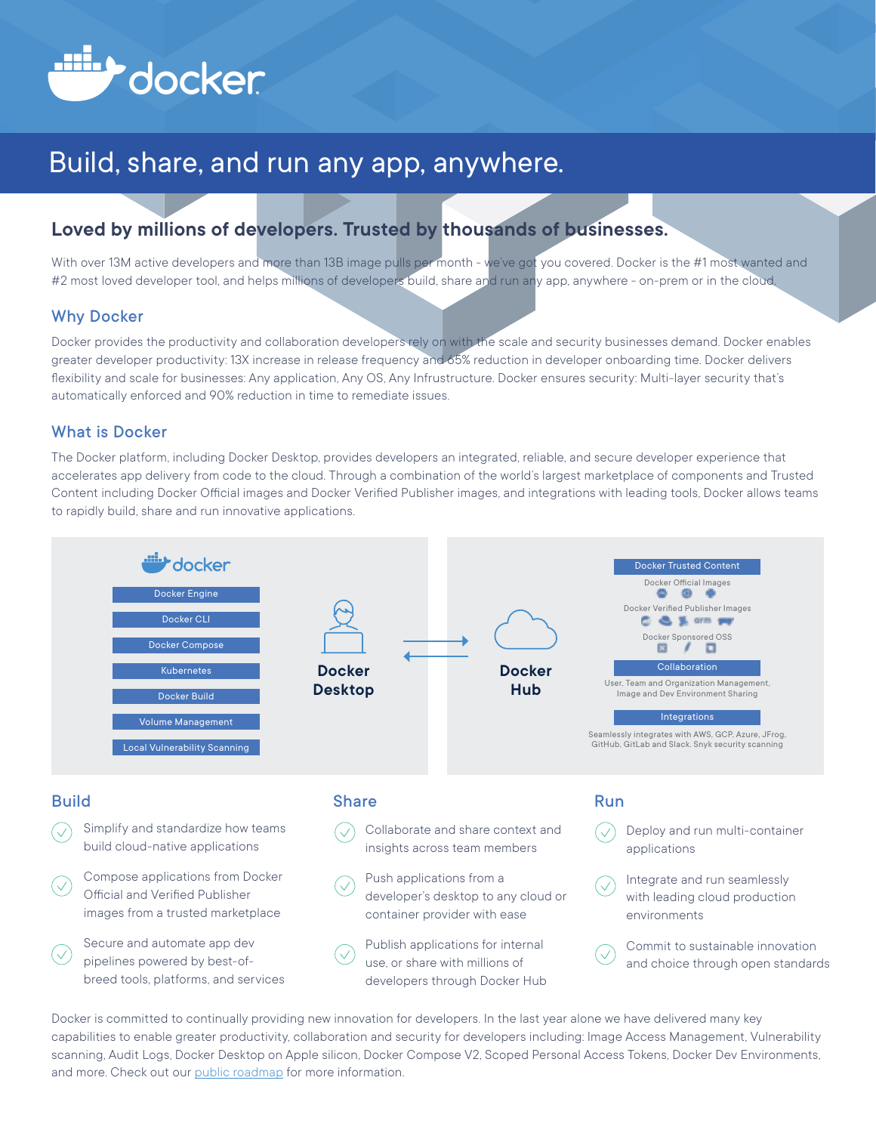

# Build, share, and run any app, anywhere.

## **Loved by millions of developers. Trusted by thousands of businesses.**

With over 13M active developers and more than 13B image pulls per month - we've got you covered. Docker is the #1 most wanted and #2 most loved developer tool, and helps millions of developers build, share and run any app, anywhere - on-prem or in the cloud.

#### Why Docker

Docker provides the productivity and collaboration developers rely on with the scale and security businesses demand. Docker enables greater developer productivity: 13X increase in release frequency and 65% reduction in developer onboarding time. Docker delivers flexibility and scale for businesses: Any application, Any OS, Any Infrustructure. Docker ensures security: Multi-layer security that's automatically enforced and 90% reduction in time to remediate issues.

#### What is Docker

The Docker platform, including Docker Desktop, provides developers an integrated, reliable, and secure developer experience that accelerates app delivery from code to the cloud. Through a combination of the world's largest marketplace of components and Trusted Content including Docker Official images and Docker Verified Publisher images, and integrations with leading tools, Docker allows teams to rapidly build, share and run innovative applications.



Docker is committed to continually providing new innovation for developers. In the last year alone we have delivered many key capabilities to enable greater productivity, collaboration and security for developers including: Image Access Management, Vulnerability scanning, Audit Logs, Docker Desktop on Apple silicon, Docker Compose V2, Scoped Personal Access Tokens, Docker Dev Environments, and more. Check out our [public roadmap](https://github.com/docker/roadmap) for more information.